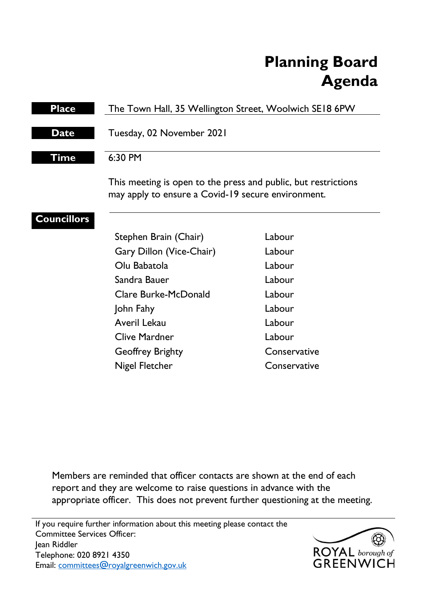# **Planning Board Agenda**

| <b>Place</b>       | The Town Hall, 35 Wellington Street, Woolwich SE18 6PW                                                               |              |
|--------------------|----------------------------------------------------------------------------------------------------------------------|--------------|
| <b>Date</b>        | Tuesday, 02 November 2021                                                                                            |              |
| Time               | 6:30 PM                                                                                                              |              |
|                    | This meeting is open to the press and public, but restrictions<br>may apply to ensure a Covid-19 secure environment. |              |
| <b>Councillors</b> |                                                                                                                      |              |
|                    | Stephen Brain (Chair)                                                                                                | Labour       |
|                    | Gary Dillon (Vice-Chair)                                                                                             | Labour       |
|                    | Olu Babatola                                                                                                         | Labour       |
|                    | Sandra Bauer                                                                                                         | Labour       |
|                    | Clare Burke-McDonald                                                                                                 | Labour       |
|                    | John Fahy                                                                                                            | Labour       |
|                    | Averil Lekau                                                                                                         | Labour       |
|                    | <b>Clive Mardner</b>                                                                                                 | Labour       |
|                    | <b>Geoffrey Brighty</b>                                                                                              | Conservative |

Members are reminded that officer contacts are shown at the end of each report and they are welcome to raise questions in advance with the appropriate officer. This does not prevent further questioning at the meeting.

Nigel Fletcher Conservative

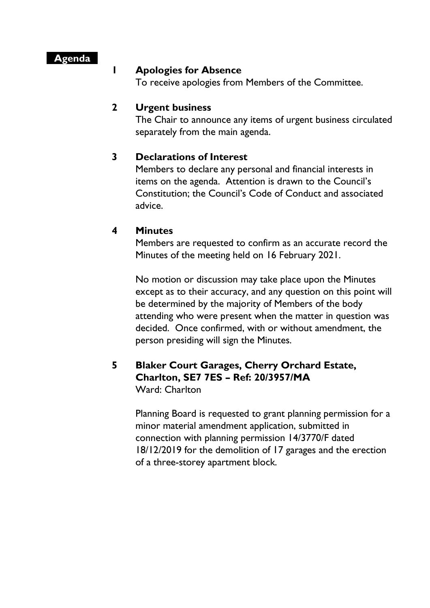#### **Agenda**

#### **1 Apologies for Absence**

To receive apologies from Members of the Committee.

#### **2 Urgent business**

The Chair to announce any items of urgent business circulated separately from the main agenda.

#### **3 Declarations of Interest**

Members to declare any personal and financial interests in items on the agenda. Attention is drawn to the Council's Constitution; the Council's Code of Conduct and associated advice.

#### **4 Minutes**

Members are requested to confirm as an accurate record the Minutes of the meeting held on 16 February 2021.

No motion or discussion may take place upon the Minutes except as to their accuracy, and any question on this point will be determined by the majority of Members of the body attending who were present when the matter in question was decided. Once confirmed, with or without amendment, the person presiding will sign the Minutes.

#### **5 Blaker Court Garages, Cherry Orchard Estate, Charlton, SE7 7ES – Ref: 20/3957/MA** Ward: Charlton

Planning Board is requested to grant planning permission for a minor material amendment application, submitted in connection with planning permission 14/3770/F dated 18/12/2019 for the demolition of 17 garages and the erection of a three-storey apartment block.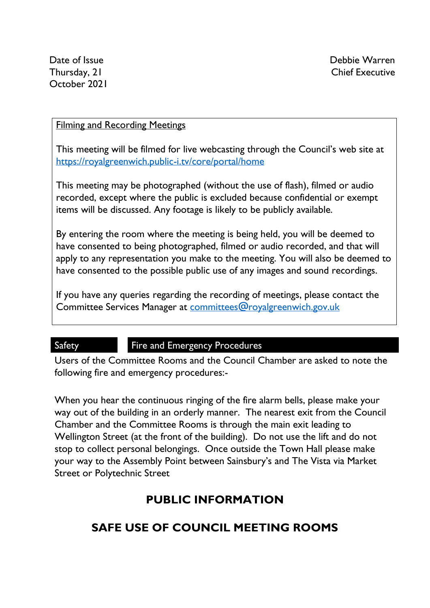#### Filming and Recording Meetings

This meeting will be filmed for live webcasting through the Council's web site at <https://royalgreenwich.public-i.tv/core/portal/home>

This meeting may be photographed (without the use of flash), filmed or audio recorded, except where the public is excluded because confidential or exempt items will be discussed. Any footage is likely to be publicly available.

By entering the room where the meeting is being held, you will be deemed to have consented to being photographed, filmed or audio recorded, and that will apply to any representation you make to the meeting. You will also be deemed to have consented to the possible public use of any images and sound recordings.

If you have any queries regarding the recording of meetings, please contact the Committee Services Manager at [committees@royalgreenwich.gov.uk](mailto:committees@royalgreenwich.gov.uk)

#### Safety **Fire and Emergency Procedures**

Users of the Committee Rooms and the Council Chamber are asked to note the following fire and emergency procedures:-

When you hear the continuous ringing of the fire alarm bells, please make your way out of the building in an orderly manner. The nearest exit from the Council Chamber and the Committee Rooms is through the main exit leading to Wellington Street (at the front of the building). Do not use the lift and do not stop to collect personal belongings. Once outside the Town Hall please make your way to the Assembly Point between Sainsbury's and The Vista via Market Street or Polytechnic Street

# **PUBLIC INFORMATION**

# **SAFE USE OF COUNCIL MEETING ROOMS**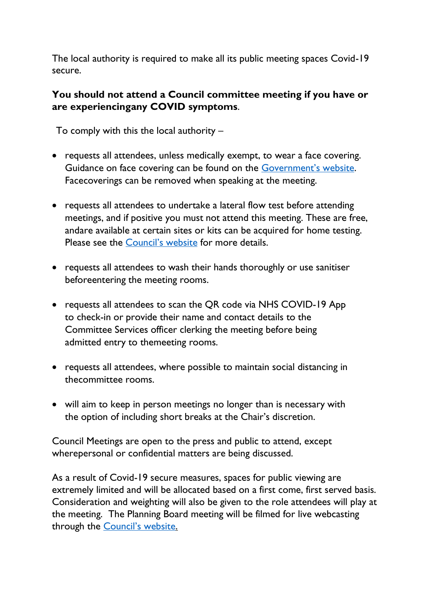The local authority is required to make all its public meeting spaces Covid-19 secure.

#### **You should not attend a Council committee meeting if you have or are experiencingany COVID symptoms**.

To comply with this the local authority –

- requests all attendees, unless medically exempt, to wear a face covering. Guidance on face covering can be found on the [Government's website](https://www.gov.uk/government/publications/face-coverings-when-to-wear-one-and-how-to-make-your-own/face-coverings-when-to-wear-one-and-how-to-make-your-own#when-you-do-not-need-to-wear-a-face-covering). Facecoverings can be removed when speaking at the meeting.
- requests all attendees to undertake a lateral flow test before attending meetings, and if positive you must not attend this meeting. These are free, andare available at certain sites or kits can be acquired for home testing. Please see the [Council's](https://www.royalgreenwich.gov.uk/info/200329/coronavirus/2287/covid-19_tests_for_people_without_symptoms) website for more details.
- requests all attendees to wash their hands thoroughly or use sanitiser beforeentering the meeting rooms.
- requests all attendees to scan the QR code via NHS COVID-19 App to check-in or provide their name and contact details to the Committee Services officer clerking the meeting before being admitted entry to themeeting rooms.
- requests all attendees, where possible to maintain social distancing in thecommittee rooms.
- will aim to keep in person meetings no longer than is necessary with the option of including short breaks at the Chair's discretion.

Council Meetings are open to the press and public to attend, except wherepersonal or confidential matters are being discussed.

As a result of Covid-19 secure measures, spaces for public viewing are extremely limited and will be allocated based on a first come, first served basis. Consideration and weighting will also be given to the role attendees will play at the meeting. The Planning Board meeting will be filmed for live webcasting through the [Council's website](https://royalgreenwich.public-i.tv/core/portal/home).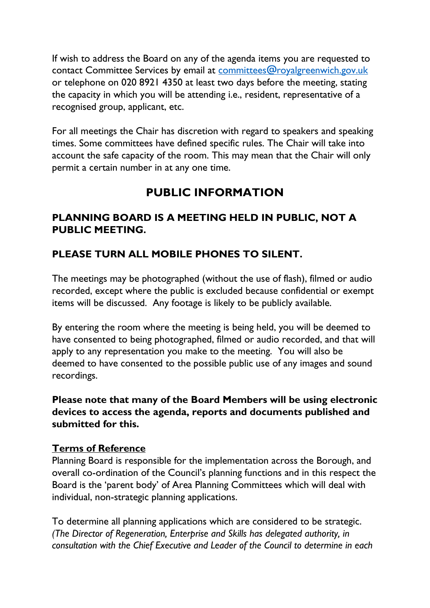If wish to address the Board on any of the agenda items you are requested to contact Committee Services by email at [committees@royalgreenwich.gov.uk](mailto:committees@royalgreenwich.gov.uk) or telephone on 020 8921 4350 at least two days before the meeting, stating the capacity in which you will be attending i.e., resident, representative of a recognised group, applicant, etc.

For all meetings the Chair has discretion with regard to speakers and speaking times. Some committees have defined specific rules. The Chair will take into account the safe capacity of the room. This may mean that the Chair will only permit a certain number in at any one time.

# **PUBLIC INFORMATION**

## **PLANNING BOARD IS A MEETING HELD IN PUBLIC, NOT A PUBLIC MEETING.**

# **PLEASE TURN ALL MOBILE PHONES TO SILENT.**

The meetings may be photographed (without the use of flash), filmed or audio recorded, except where the public is excluded because confidential or exempt items will be discussed. Any footage is likely to be publicly available.

By entering the room where the meeting is being held, you will be deemed to have consented to being photographed, filmed or audio recorded, and that will apply to any representation you make to the meeting. You will also be deemed to have consented to the possible public use of any images and sound recordings.

**Please note that many of the Board Members will be using electronic devices to access the agenda, reports and documents published and submitted for this.**

#### **Terms of Reference**

Planning Board is responsible for the implementation across the Borough, and overall co-ordination of the Council's planning functions and in this respect the Board is the 'parent body' of Area Planning Committees which will deal with individual, non-strategic planning applications.

To determine all planning applications which are considered to be strategic. *(The Director of Regeneration, Enterprise and Skills has delegated authority, in consultation with the Chief Executive and Leader of the Council to determine in each*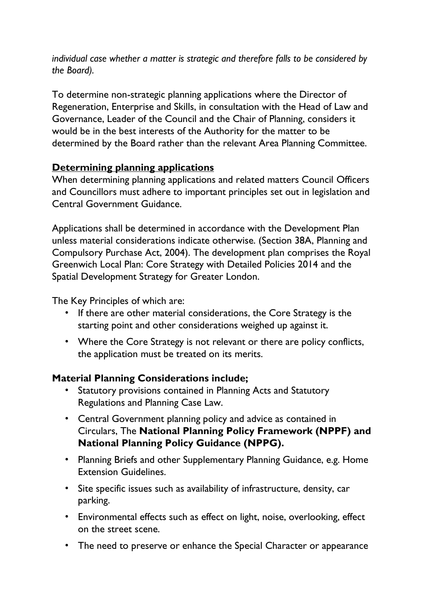*individual case whether a matter is strategic and therefore falls to be considered by the Board).* 

To determine non-strategic planning applications where the Director of Regeneration, Enterprise and Skills, in consultation with the Head of Law and Governance, Leader of the Council and the Chair of Planning, considers it would be in the best interests of the Authority for the matter to be determined by the Board rather than the relevant Area Planning Committee.

#### **Determining planning applications**

When determining planning applications and related matters Council Officers and Councillors must adhere to important principles set out in legislation and Central Government Guidance.

Applications shall be determined in accordance with the Development Plan unless material considerations indicate otherwise. (Section 38A, Planning and Compulsory Purchase Act, 2004). The development plan comprises the Royal Greenwich Local Plan: Core Strategy with Detailed Policies 2014 and the Spatial Development Strategy for Greater London.

The Key Principles of which are:

- If there are other material considerations, the Core Strategy is the starting point and other considerations weighed up against it.
- Where the Core Strategy is not relevant or there are policy conflicts, the application must be treated on its merits.

#### **Material Planning Considerations include;**

- Statutory provisions contained in Planning Acts and Statutory Regulations and Planning Case Law.
- Central Government planning policy and advice as contained in Circulars, The **National Planning Policy Framework (NPPF) and National Planning Policy Guidance (NPPG).**
- Planning Briefs and other Supplementary Planning Guidance, e.g. Home Extension Guidelines.
- Site specific issues such as availability of infrastructure, density, car parking.
- Environmental effects such as effect on light, noise, overlooking, effect on the street scene.
- The need to preserve or enhance the Special Character or appearance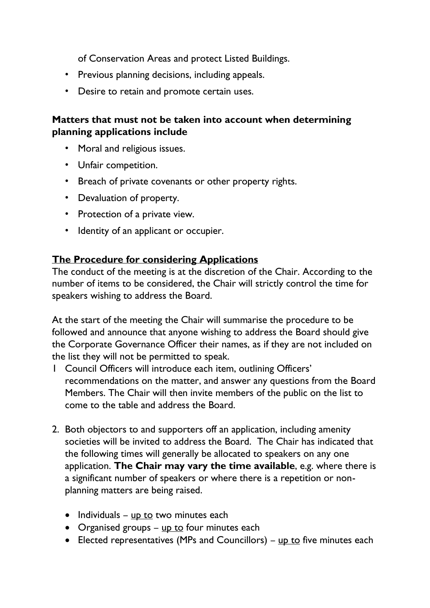of Conservation Areas and protect Listed Buildings.

- Previous planning decisions, including appeals.
- Desire to retain and promote certain uses.

#### **Matters that must not be taken into account when determining planning applications include**

- Moral and religious issues.
- Unfair competition.
- Breach of private covenants or other property rights.
- Devaluation of property.
- Protection of a private view.
- Identity of an applicant or occupier.

#### **The Procedure for considering Applications**

The conduct of the meeting is at the discretion of the Chair. According to the number of items to be considered, the Chair will strictly control the time for speakers wishing to address the Board.

At the start of the meeting the Chair will summarise the procedure to be followed and announce that anyone wishing to address the Board should give the Corporate Governance Officer their names, as if they are not included on the list they will not be permitted to speak.

- 1 Council Officers will introduce each item, outlining Officers' recommendations on the matter, and answer any questions from the Board Members. The Chair will then invite members of the public on the list to come to the table and address the Board.
- 2. Both objectors to and supporters off an application, including amenity societies will be invited to address the Board. The Chair has indicated that the following times will generally be allocated to speakers on any one application. **The Chair may vary the time available**, e.g. where there is a significant number of speakers or where there is a repetition or nonplanning matters are being raised.
	- $\bullet$  Individuals up to two minutes each
	- Organised groups up to four minutes each
	- Elected representatives (MPs and Councillors)  $up$  to five minutes each